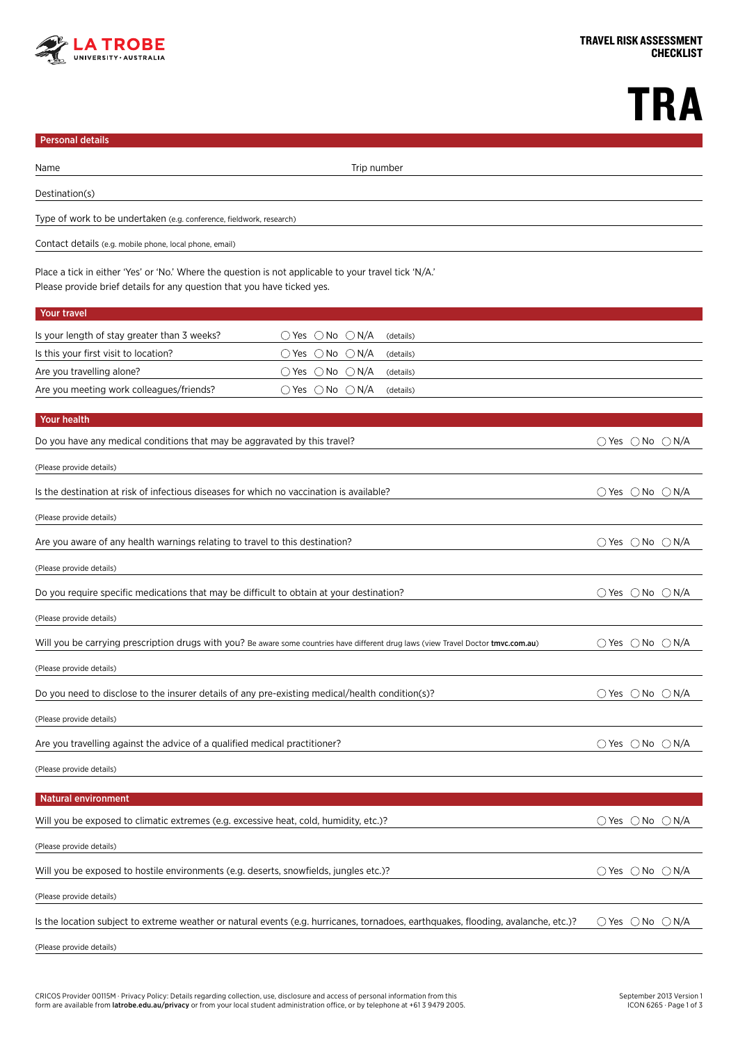

## **TRA**

| <b>Personal details</b>                                                                                                                                                            |                                                          |                                             |  |  |
|------------------------------------------------------------------------------------------------------------------------------------------------------------------------------------|----------------------------------------------------------|---------------------------------------------|--|--|
| Name                                                                                                                                                                               | Trip number                                              |                                             |  |  |
| Destination(s)                                                                                                                                                                     |                                                          |                                             |  |  |
| Type of work to be undertaken (e.g. conference, fieldwork, research)                                                                                                               |                                                          |                                             |  |  |
| Contact details (e.g. mobile phone, local phone, email)                                                                                                                            |                                                          |                                             |  |  |
| Place a tick in either 'Yes' or 'No.' Where the question is not applicable to your travel tick 'N/A.'<br>Please provide brief details for any question that you have ticked yes.   |                                                          |                                             |  |  |
| Your travel                                                                                                                                                                        |                                                          |                                             |  |  |
| Is your length of stay greater than 3 weeks?                                                                                                                                       | $\bigcirc$ Yes $\bigcirc$ No $\bigcirc$ N/A<br>(details) |                                             |  |  |
| Is this your first visit to location?                                                                                                                                              | $\bigcirc$ Yes $\bigcirc$ No $\bigcirc$ N/A<br>(details) |                                             |  |  |
| Are you travelling alone?                                                                                                                                                          | $\bigcirc$ Yes $\bigcirc$ No $\bigcirc$ N/A<br>(details) |                                             |  |  |
| Are you meeting work colleagues/friends?                                                                                                                                           | $\bigcirc$ Yes $\bigcirc$ No $\bigcirc$ N/A<br>(details) |                                             |  |  |
| Your health                                                                                                                                                                        |                                                          |                                             |  |  |
| Do you have any medical conditions that may be aggravated by this travel?                                                                                                          |                                                          | $\bigcirc$ Yes $\bigcirc$ No $\bigcirc$ N/A |  |  |
| (Please provide details)                                                                                                                                                           |                                                          |                                             |  |  |
| Is the destination at risk of infectious diseases for which no vaccination is available?                                                                                           |                                                          | $\bigcirc$ Yes $\bigcirc$ No $\bigcirc$ N/A |  |  |
| (Please provide details)                                                                                                                                                           |                                                          |                                             |  |  |
| Are you aware of any health warnings relating to travel to this destination?                                                                                                       | $\bigcirc$ Yes $\bigcirc$ No $\bigcirc$ N/A              |                                             |  |  |
| (Please provide details)                                                                                                                                                           |                                                          |                                             |  |  |
| Do you require specific medications that may be difficult to obtain at your destination?                                                                                           | $\bigcirc$ Yes $\bigcirc$ No $\bigcirc$ N/A              |                                             |  |  |
| (Please provide details)                                                                                                                                                           |                                                          |                                             |  |  |
| $\bigcirc$ Yes $\bigcirc$ No $\bigcirc$ N/A<br>Will you be carrying prescription drugs with you? Be aware some countries have different drug laws (view Travel Doctor tmvc.com.au) |                                                          |                                             |  |  |
| (Please provide details)                                                                                                                                                           |                                                          |                                             |  |  |
| Do you need to disclose to the insurer details of any pre-existing medical/health condition(s)?                                                                                    |                                                          | $\bigcirc$ Yes $\bigcirc$ No $\bigcirc$ N/A |  |  |
| (Please provide details)                                                                                                                                                           |                                                          |                                             |  |  |
| Are you travelling against the advice of a qualified medical practitioner?                                                                                                         | ○ Yes ○ No ○ N/A                                         |                                             |  |  |
| (Please provide details)                                                                                                                                                           |                                                          |                                             |  |  |
| <b>Natural environment</b>                                                                                                                                                         |                                                          |                                             |  |  |
| Will you be exposed to climatic extremes (e.g. excessive heat, cold, humidity, etc.)?                                                                                              |                                                          | $\bigcirc$ Yes $\bigcirc$ No $\bigcirc$ N/A |  |  |
| (Please provide details)                                                                                                                                                           |                                                          |                                             |  |  |
| Will you be exposed to hostile environments (e.g. deserts, snowfields, jungles etc.)?                                                                                              | $\bigcirc$ Yes $\bigcirc$ No $\bigcirc$ N/A              |                                             |  |  |
| (Please provide details)                                                                                                                                                           |                                                          |                                             |  |  |
| Is the location subject to extreme weather or natural events (e.g. hurricanes, tornadoes, earthquakes, flooding, avalanche, etc.)?                                                 | $\bigcirc$ Yes $\bigcirc$ No $\bigcirc$ N/A              |                                             |  |  |
| (Please provide details)                                                                                                                                                           |                                                          |                                             |  |  |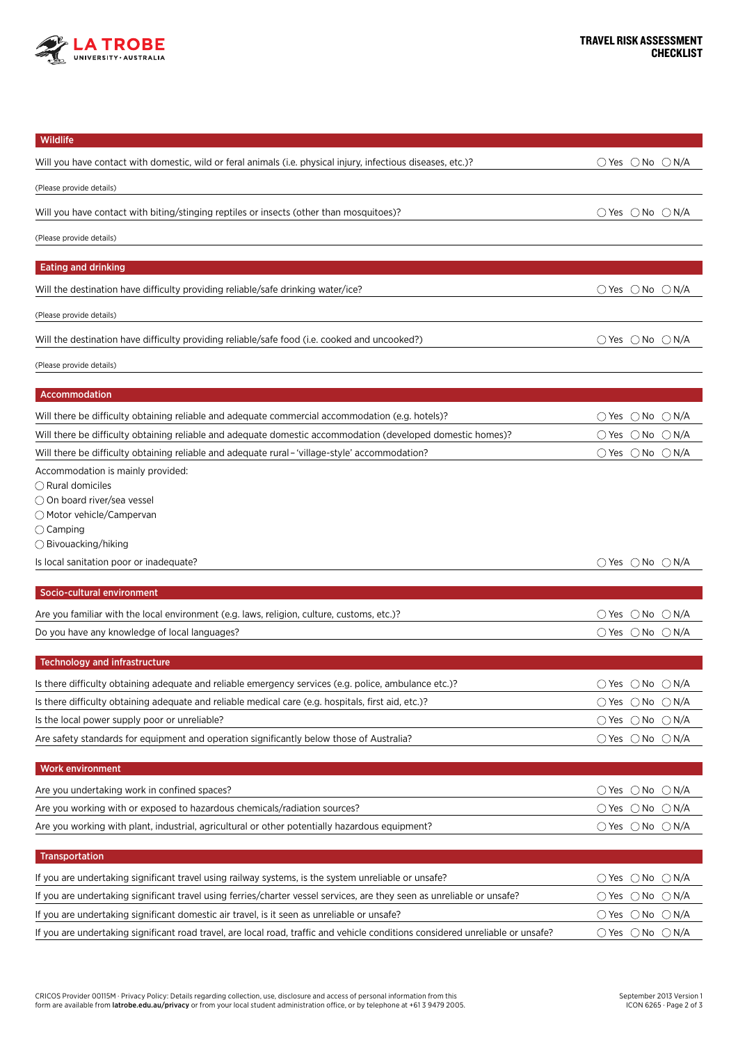

| Wildlife                                                                                                                        |                                             |
|---------------------------------------------------------------------------------------------------------------------------------|---------------------------------------------|
| Will you have contact with domestic, wild or feral animals (i.e. physical injury, infectious diseases, etc.)?                   | $\bigcirc$ Yes $\bigcirc$ No $\bigcirc$ N/A |
| (Please provide details)                                                                                                        |                                             |
| Will you have contact with biting/stinging reptiles or insects (other than mosquitoes)?                                         | $\bigcirc$ Yes $\bigcirc$ No $\bigcirc$ N/A |
| (Please provide details)                                                                                                        |                                             |
| <b>Eating and drinking</b>                                                                                                      |                                             |
|                                                                                                                                 |                                             |
| Will the destination have difficulty providing reliable/safe drinking water/ice?                                                | $\bigcirc$ Yes $\bigcirc$ No $\bigcirc$ N/A |
| (Please provide details)                                                                                                        |                                             |
| Will the destination have difficulty providing reliable/safe food (i.e. cooked and uncooked?)                                   | $\bigcirc$ Yes $\bigcirc$ No $\bigcirc$ N/A |
| (Please provide details)                                                                                                        |                                             |
| Accommodation                                                                                                                   |                                             |
| Will there be difficulty obtaining reliable and adequate commercial accommodation (e.g. hotels)?                                | $\bigcirc$ Yes $\bigcirc$ No $\bigcirc$ N/A |
| Will there be difficulty obtaining reliable and adequate domestic accommodation (developed domestic homes)?                     | $\bigcirc$ Yes $\bigcirc$ No $\bigcirc$ N/A |
| Will there be difficulty obtaining reliable and adequate rural - 'village-style' accommodation?                                 | $\bigcirc$ Yes $\bigcirc$ No $\bigcirc$ N/A |
| Accommodation is mainly provided:                                                                                               |                                             |
| $\bigcirc$ Rural domiciles                                                                                                      |                                             |
| ○ On board river/sea vessel                                                                                                     |                                             |
| ◯ Motor vehicle/Campervan                                                                                                       |                                             |
| $\bigcirc$ Camping<br>$\bigcirc$ Bivouacking/hiking                                                                             |                                             |
| Is local sanitation poor or inadequate?                                                                                         | $\bigcirc$ Yes $\bigcirc$ No $\bigcirc$ N/A |
| Socio-cultural environment                                                                                                      |                                             |
|                                                                                                                                 |                                             |
| Are you familiar with the local environment (e.g. laws, religion, culture, customs, etc.)?                                      | $\bigcirc$ Yes $\bigcirc$ No $\bigcirc$ N/A |
| Do you have any knowledge of local languages?                                                                                   | $\bigcirc$ Yes $\bigcirc$ No $\bigcirc$ N/A |
| <b>Technology and infrastructure</b>                                                                                            |                                             |
| Is there difficulty obtaining adequate and reliable emergency services (e.g. police, ambulance etc.)?                           | $\bigcirc$ Yes $\bigcirc$ No $\bigcirc$ N/A |
| Is there difficulty obtaining adequate and reliable medical care (e.g. hospitals, first aid, etc.)?                             | $\bigcirc$ Yes $\bigcirc$ No $\bigcirc$ N/A |
| Is the local power supply poor or unreliable?                                                                                   | $\bigcirc$ Yes $\bigcirc$ No $\bigcirc$ N/A |
| Are safety standards for equipment and operation significantly below those of Australia?                                        | $\bigcirc$ Yes $\bigcirc$ No $\bigcirc$ N/A |
| <b>Work environment</b>                                                                                                         |                                             |
| Are you undertaking work in confined spaces?                                                                                    | $\bigcirc$ Yes $\bigcirc$ No $\bigcirc$ N/A |
| Are you working with or exposed to hazardous chemicals/radiation sources?                                                       | $\bigcirc$ Yes $\bigcirc$ No $\bigcirc$ N/A |
| Are you working with plant, industrial, agricultural or other potentially hazardous equipment?                                  | $\bigcirc$ Yes $\bigcirc$ No $\bigcirc$ N/A |
| <b>Transportation</b>                                                                                                           |                                             |
| If you are undertaking significant travel using railway systems, is the system unreliable or unsafe?                            | $\bigcirc$ Yes $\bigcirc$ No $\bigcirc$ N/A |
| If you are undertaking significant travel using ferries/charter vessel services, are they seen as unreliable or unsafe?         | $\bigcirc$ Yes $\bigcirc$ No $\bigcirc$ N/A |
| If you are undertaking significant domestic air travel, is it seen as unreliable or unsafe?                                     | $\bigcirc$ Yes $\bigcirc$ No $\bigcirc$ N/A |
| If you are undertaking significant road travel, are local road, traffic and vehicle conditions considered unreliable or unsafe? | $\bigcirc$ Yes $\bigcirc$ No $\bigcirc$ N/A |